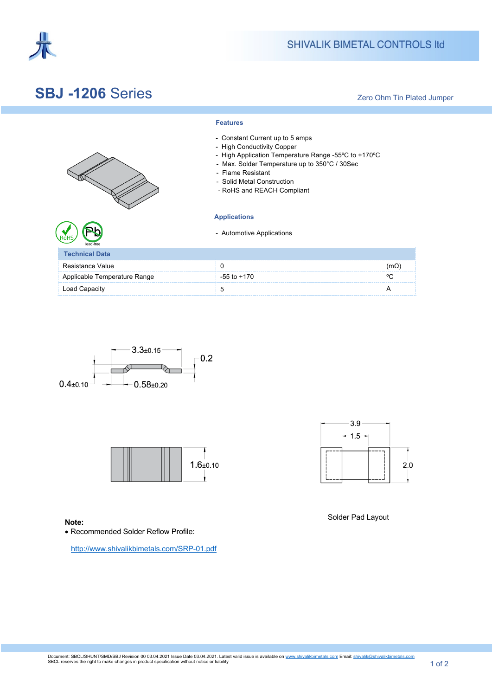

## **SBJ -1206** Series

Zero Ohm Tin Plated Jumper

|                              | - Constant Current up to 5 amps<br>- High Conductivity Copper<br>- High Application Temperature Range -55°C to +170°C<br>- Max. Solder Temperature up to 350°C / 30Sec<br>- Flame Resistant<br>- Solid Metal Construction<br>- RoHS and REACH Compliant |             |
|------------------------------|---------------------------------------------------------------------------------------------------------------------------------------------------------------------------------------------------------------------------------------------------------|-------------|
|                              | <b>Applications</b>                                                                                                                                                                                                                                     |             |
|                              | - Automotive Applications                                                                                                                                                                                                                               |             |
| <b>Technical Data</b>        |                                                                                                                                                                                                                                                         |             |
| Resistance Value             | 0                                                                                                                                                                                                                                                       | $(m\Omega)$ |
| Applicable Temperature Range | $-55$ to $+170$                                                                                                                                                                                                                                         | ٥ω          |
| Load Capacity                | 5                                                                                                                                                                                                                                                       | А           |

**Features**







**Note: Note: Note: Note: Note: Note: Note: Note: Note: Note: Note: Note: Note: Note: Note: Note: Note: Note: Note: Note: Note: Note: Note: Note: Note: Note: Note: Note:** 

• Recommended Solder Reflow Profile:

http://www.shivalikbimetals.com/SRP-01.pdf